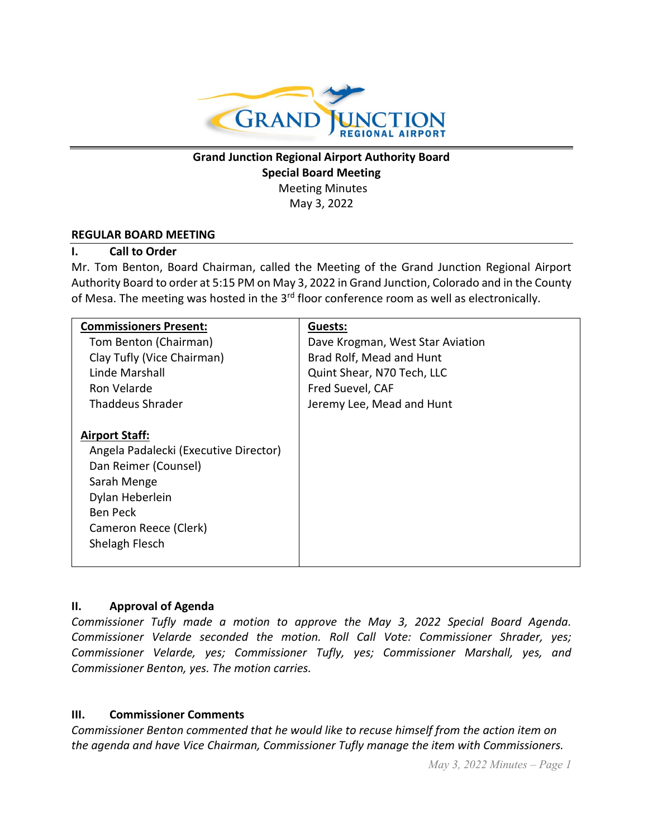

# **Grand Junction Regional Airport Authority Board Special Board Meeting** Meeting Minutes May 3, 2022

#### **REGULAR BOARD MEETING**

#### **I. Call to Order**

Mr. Tom Benton, Board Chairman, called the Meeting of the Grand Junction Regional Airport Authority Board to order at 5:15 PM on May 3, 2022 in Grand Junction, Colorado and in the County of Mesa. The meeting was hosted in the  $3<sup>rd</sup>$  floor conference room as well as electronically.

| <b>Commissioners Present:</b>         | Guests:                          |
|---------------------------------------|----------------------------------|
| Tom Benton (Chairman)                 | Dave Krogman, West Star Aviation |
| Clay Tufly (Vice Chairman)            | Brad Rolf, Mead and Hunt         |
| Linde Marshall                        | Quint Shear, N70 Tech, LLC       |
| Ron Velarde                           | Fred Suevel, CAF                 |
| Thaddeus Shrader                      | Jeremy Lee, Mead and Hunt        |
|                                       |                                  |
| <b>Airport Staff:</b>                 |                                  |
| Angela Padalecki (Executive Director) |                                  |
| Dan Reimer (Counsel)                  |                                  |
| Sarah Menge                           |                                  |
| Dylan Heberlein                       |                                  |
| <b>Ben Peck</b>                       |                                  |
| Cameron Reece (Clerk)                 |                                  |
| Shelagh Flesch                        |                                  |
|                                       |                                  |

#### **II. Approval of Agenda**

*Commissioner Tufly made a motion to approve the May 3, 2022 Special Board Agenda. Commissioner Velarde seconded the motion. Roll Call Vote: Commissioner Shrader, yes; Commissioner Velarde, yes; Commissioner Tufly, yes; Commissioner Marshall, yes, and Commissioner Benton, yes. The motion carries.*

#### **III. Commissioner Comments**

*Commissioner Benton commented that he would like to recuse himself from the action item on the agenda and have Vice Chairman, Commissioner Tufly manage the item with Commissioners.*